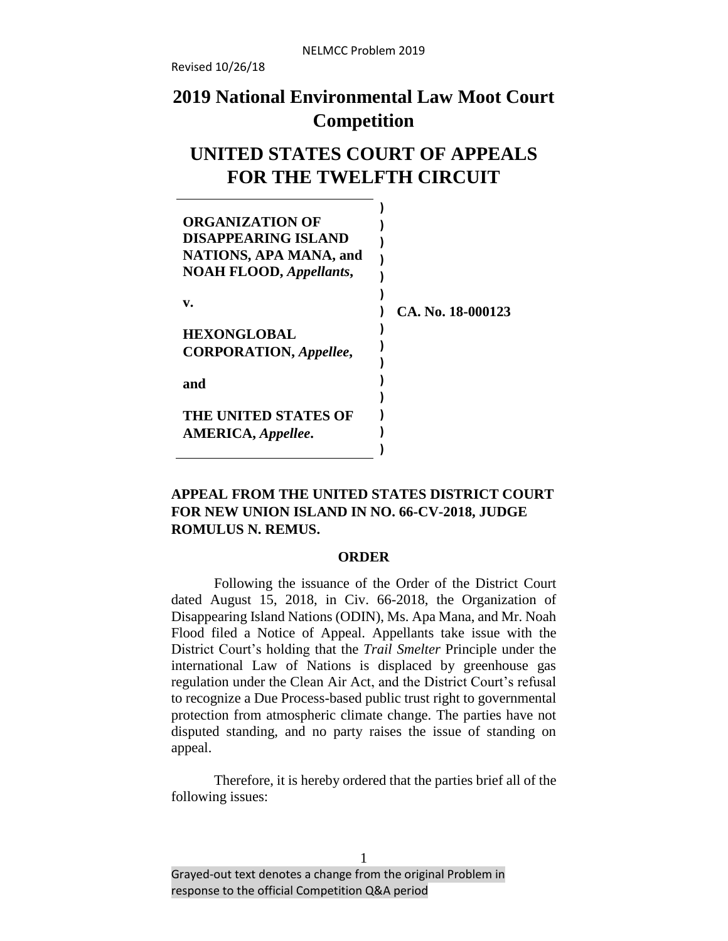# **2019 National Environmental Law Moot Court Competition**

# **UNITED STATES COURT OF APPEALS FOR THE TWELFTH CIRCUIT**

| ORGANIZATION OF<br><b>DISAPPEARING ISLAND</b><br><b>NATIONS, APA MANA, and</b><br><b>NOAH FLOOD, Appellants,</b> |                   |
|------------------------------------------------------------------------------------------------------------------|-------------------|
| v.                                                                                                               | CA. No. 18-000123 |
| <b>HEXONGLOBAL</b>                                                                                               |                   |
| <b>CORPORATION, Appellee,</b>                                                                                    |                   |
| and                                                                                                              |                   |
| <b>THE UNITED STATES OF</b>                                                                                      |                   |
| <b>AMERICA</b> , <i>Appellee</i> .                                                                               |                   |
|                                                                                                                  |                   |

# **APPEAL FROM THE UNITED STATES DISTRICT COURT FOR NEW UNION ISLAND IN NO. 66-CV-2018, JUDGE ROMULUS N. REMUS.**

#### **ORDER**

Following the issuance of the Order of the District Court dated August 15, 2018, in Civ. 66-2018, the Organization of Disappearing Island Nations (ODIN), Ms. Apa Mana, and Mr. Noah Flood filed a Notice of Appeal. Appellants take issue with the District Court's holding that the *Trail Smelter* Principle under the international Law of Nations is displaced by greenhouse gas regulation under the Clean Air Act, and the District Court's refusal to recognize a Due Process-based public trust right to governmental protection from atmospheric climate change. The parties have not disputed standing, and no party raises the issue of standing on appeal.

Therefore, it is hereby ordered that the parties brief all of the following issues: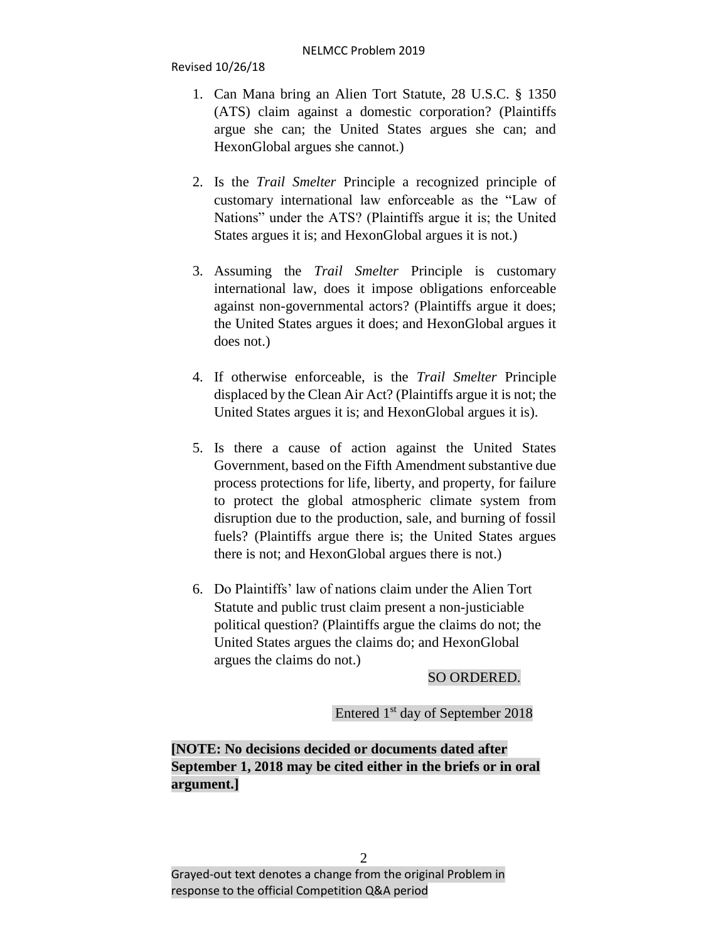- 1. Can Mana bring an Alien Tort Statute, 28 U.S.C. § 1350 (ATS) claim against a domestic corporation? (Plaintiffs argue she can; the United States argues she can; and HexonGlobal argues she cannot.)
- 2. Is the *Trail Smelter* Principle a recognized principle of customary international law enforceable as the "Law of Nations" under the ATS? (Plaintiffs argue it is; the United States argues it is; and HexonGlobal argues it is not.)
- 3. Assuming the *Trail Smelter* Principle is customary international law, does it impose obligations enforceable against non-governmental actors? (Plaintiffs argue it does; the United States argues it does; and HexonGlobal argues it does not.)
- 4. If otherwise enforceable, is the *Trail Smelter* Principle displaced by the Clean Air Act? (Plaintiffs argue it is not; the United States argues it is; and HexonGlobal argues it is).
- 5. Is there a cause of action against the United States Government, based on the Fifth Amendment substantive due process protections for life, liberty, and property, for failure to protect the global atmospheric climate system from disruption due to the production, sale, and burning of fossil fuels? (Plaintiffs argue there is; the United States argues there is not; and HexonGlobal argues there is not.)
- 6. Do Plaintiffs' law of nations claim under the Alien Tort Statute and public trust claim present a non-justiciable political question? (Plaintiffs argue the claims do not; the United States argues the claims do; and HexonGlobal argues the claims do not.)

# SO ORDERED.

Entered 1 st day of September 2018

**[NOTE: No decisions decided or documents dated after September 1, 2018 may be cited either in the briefs or in oral argument.]**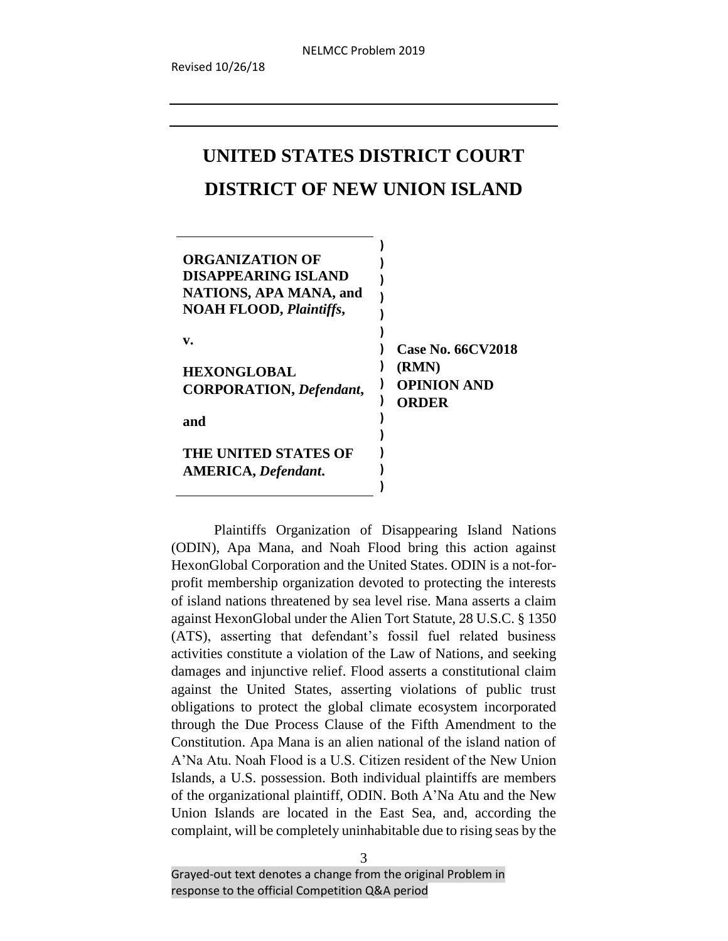# **UNITED STATES DISTRICT COURT DISTRICT OF NEW UNION ISLAND**

| ORGANIZATION OF<br><b>DISAPPEARING ISLAND</b><br>NATIONS, APA MANA, and<br><b>NOAH FLOOD, Plaintiffs,</b> |                             |
|-----------------------------------------------------------------------------------------------------------|-----------------------------|
| v.                                                                                                        | <b>Case No. 66CV2018</b>    |
| <b>HEXONGLOBAL</b>                                                                                        | (RMN)                       |
| <b>CORPORATION</b> , <i>Defendant</i> ,                                                                   | <b>OPINION AND</b><br>ORDER |
| and                                                                                                       |                             |
|                                                                                                           |                             |
| THE UNITED STATES OF                                                                                      |                             |
| <b>AMERICA</b> , <i>Defendant</i> .                                                                       |                             |

Plaintiffs Organization of Disappearing Island Nations (ODIN), Apa Mana, and Noah Flood bring this action against HexonGlobal Corporation and the United States. ODIN is a not-forprofit membership organization devoted to protecting the interests of island nations threatened by sea level rise. Mana asserts a claim against HexonGlobal under the Alien Tort Statute, 28 U.S.C. § 1350 (ATS), asserting that defendant's fossil fuel related business activities constitute a violation of the Law of Nations, and seeking damages and injunctive relief. Flood asserts a constitutional claim against the United States, asserting violations of public trust obligations to protect the global climate ecosystem incorporated through the Due Process Clause of the Fifth Amendment to the Constitution. Apa Mana is an alien national of the island nation of A'Na Atu. Noah Flood is a U.S. Citizen resident of the New Union Islands, a U.S. possession. Both individual plaintiffs are members of the organizational plaintiff, ODIN. Both A'Na Atu and the New Union Islands are located in the East Sea, and, according the complaint, will be completely uninhabitable due to rising seas by the

**)**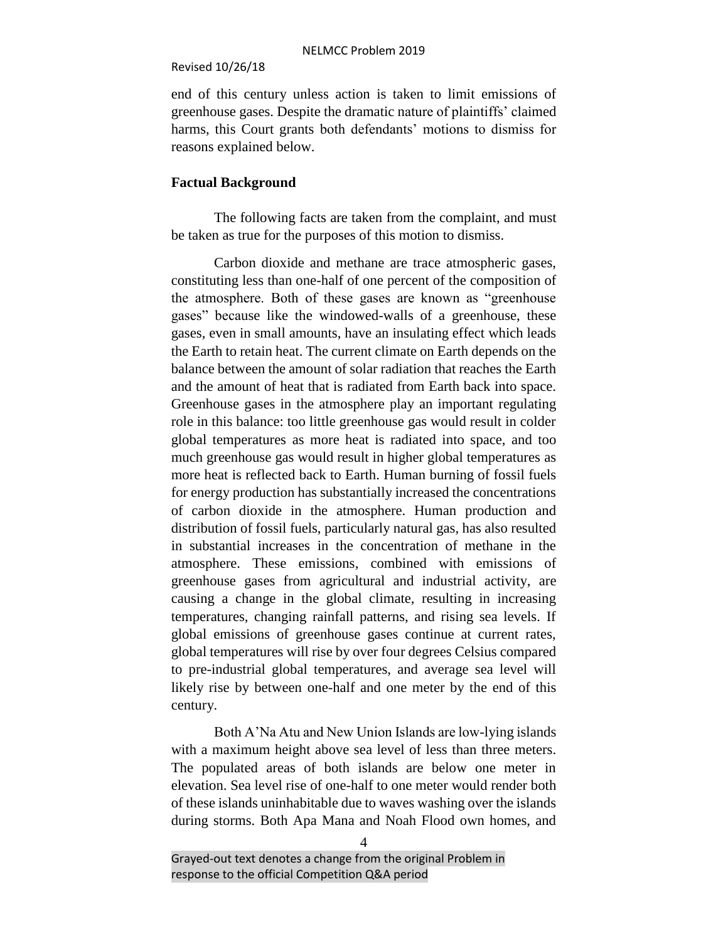end of this century unless action is taken to limit emissions of greenhouse gases. Despite the dramatic nature of plaintiffs' claimed harms, this Court grants both defendants' motions to dismiss for reasons explained below.

# **Factual Background**

The following facts are taken from the complaint, and must be taken as true for the purposes of this motion to dismiss.

Carbon dioxide and methane are trace atmospheric gases, constituting less than one-half of one percent of the composition of the atmosphere. Both of these gases are known as "greenhouse gases" because like the windowed-walls of a greenhouse, these gases, even in small amounts, have an insulating effect which leads the Earth to retain heat. The current climate on Earth depends on the balance between the amount of solar radiation that reaches the Earth and the amount of heat that is radiated from Earth back into space. Greenhouse gases in the atmosphere play an important regulating role in this balance: too little greenhouse gas would result in colder global temperatures as more heat is radiated into space, and too much greenhouse gas would result in higher global temperatures as more heat is reflected back to Earth. Human burning of fossil fuels for energy production has substantially increased the concentrations of carbon dioxide in the atmosphere. Human production and distribution of fossil fuels, particularly natural gas, has also resulted in substantial increases in the concentration of methane in the atmosphere. These emissions, combined with emissions of greenhouse gases from agricultural and industrial activity, are causing a change in the global climate, resulting in increasing temperatures, changing rainfall patterns, and rising sea levels. If global emissions of greenhouse gases continue at current rates, global temperatures will rise by over four degrees Celsius compared to pre-industrial global temperatures, and average sea level will likely rise by between one-half and one meter by the end of this century.

Both A'Na Atu and New Union Islands are low-lying islands with a maximum height above sea level of less than three meters. The populated areas of both islands are below one meter in elevation. Sea level rise of one-half to one meter would render both of these islands uninhabitable due to waves washing over the islands during storms. Both Apa Mana and Noah Flood own homes, and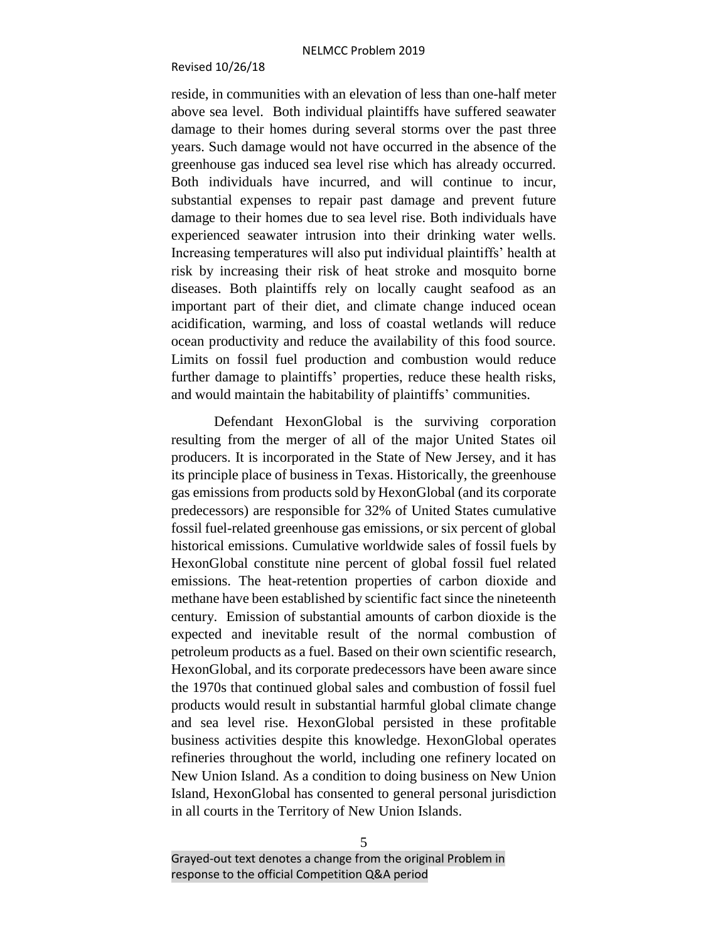#### Revised 10/26/18

reside, in communities with an elevation of less than one-half meter above sea level. Both individual plaintiffs have suffered seawater damage to their homes during several storms over the past three years. Such damage would not have occurred in the absence of the greenhouse gas induced sea level rise which has already occurred. Both individuals have incurred, and will continue to incur, substantial expenses to repair past damage and prevent future damage to their homes due to sea level rise. Both individuals have experienced seawater intrusion into their drinking water wells. Increasing temperatures will also put individual plaintiffs' health at risk by increasing their risk of heat stroke and mosquito borne diseases. Both plaintiffs rely on locally caught seafood as an important part of their diet, and climate change induced ocean acidification, warming, and loss of coastal wetlands will reduce ocean productivity and reduce the availability of this food source. Limits on fossil fuel production and combustion would reduce further damage to plaintiffs' properties, reduce these health risks, and would maintain the habitability of plaintiffs' communities.

Defendant HexonGlobal is the surviving corporation resulting from the merger of all of the major United States oil producers. It is incorporated in the State of New Jersey, and it has its principle place of business in Texas. Historically, the greenhouse gas emissions from products sold by HexonGlobal (and its corporate predecessors) are responsible for 32% of United States cumulative fossil fuel-related greenhouse gas emissions, or six percent of global historical emissions. Cumulative worldwide sales of fossil fuels by HexonGlobal constitute nine percent of global fossil fuel related emissions. The heat-retention properties of carbon dioxide and methane have been established by scientific fact since the nineteenth century. Emission of substantial amounts of carbon dioxide is the expected and inevitable result of the normal combustion of petroleum products as a fuel. Based on their own scientific research, HexonGlobal, and its corporate predecessors have been aware since the 1970s that continued global sales and combustion of fossil fuel products would result in substantial harmful global climate change and sea level rise. HexonGlobal persisted in these profitable business activities despite this knowledge. HexonGlobal operates refineries throughout the world, including one refinery located on New Union Island. As a condition to doing business on New Union Island, HexonGlobal has consented to general personal jurisdiction in all courts in the Territory of New Union Islands.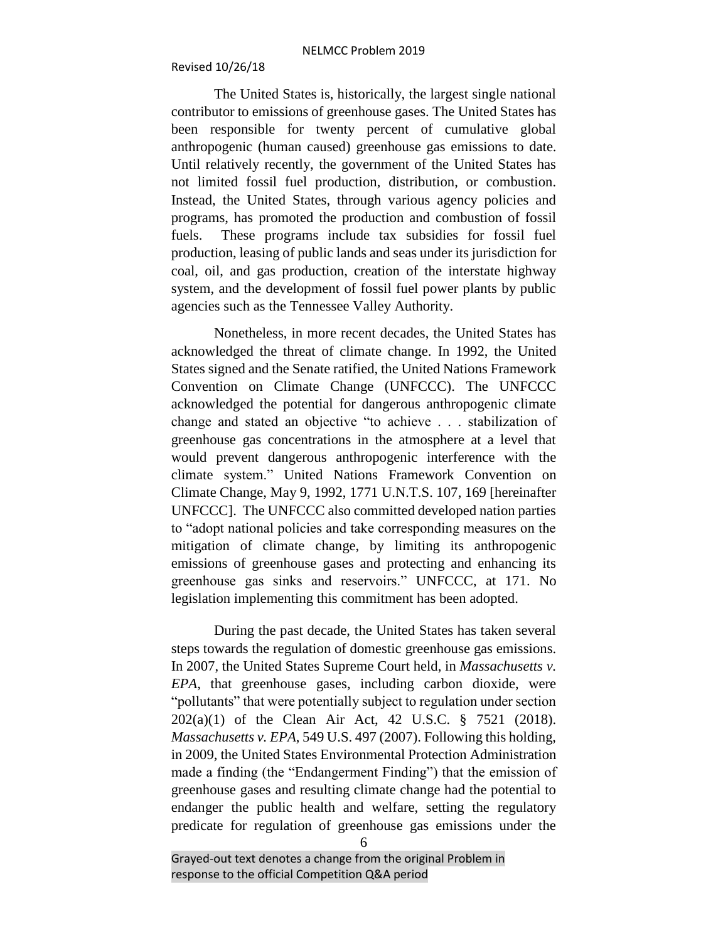The United States is, historically, the largest single national contributor to emissions of greenhouse gases. The United States has been responsible for twenty percent of cumulative global anthropogenic (human caused) greenhouse gas emissions to date. Until relatively recently, the government of the United States has not limited fossil fuel production, distribution, or combustion. Instead, the United States, through various agency policies and programs, has promoted the production and combustion of fossil fuels. These programs include tax subsidies for fossil fuel production, leasing of public lands and seas under its jurisdiction for coal, oil, and gas production, creation of the interstate highway system, and the development of fossil fuel power plants by public agencies such as the Tennessee Valley Authority.

Nonetheless, in more recent decades, the United States has acknowledged the threat of climate change. In 1992, the United States signed and the Senate ratified, the United Nations Framework Convention on Climate Change (UNFCCC). The UNFCCC acknowledged the potential for dangerous anthropogenic climate change and stated an objective "to achieve . . . stabilization of greenhouse gas concentrations in the atmosphere at a level that would prevent dangerous anthropogenic interference with the climate system." United Nations Framework Convention on Climate Change, May 9, 1992, 1771 U.N.T.S. 107, 169 [hereinafter UNFCCC]. The UNFCCC also committed developed nation parties to "adopt national policies and take corresponding measures on the mitigation of climate change, by limiting its anthropogenic emissions of greenhouse gases and protecting and enhancing its greenhouse gas sinks and reservoirs." UNFCCC, at 171. No legislation implementing this commitment has been adopted.

During the past decade, the United States has taken several steps towards the regulation of domestic greenhouse gas emissions. In 2007, the United States Supreme Court held, in *Massachusetts v. EPA*, that greenhouse gases, including carbon dioxide, were "pollutants" that were potentially subject to regulation under section 202(a)(1) of the Clean Air Act, 42 U.S.C. § 7521 (2018). *Massachusetts v. EPA*, 549 U.S. 497 (2007). Following this holding, in 2009, the United States Environmental Protection Administration made a finding (the "Endangerment Finding") that the emission of greenhouse gases and resulting climate change had the potential to endanger the public health and welfare, setting the regulatory predicate for regulation of greenhouse gas emissions under the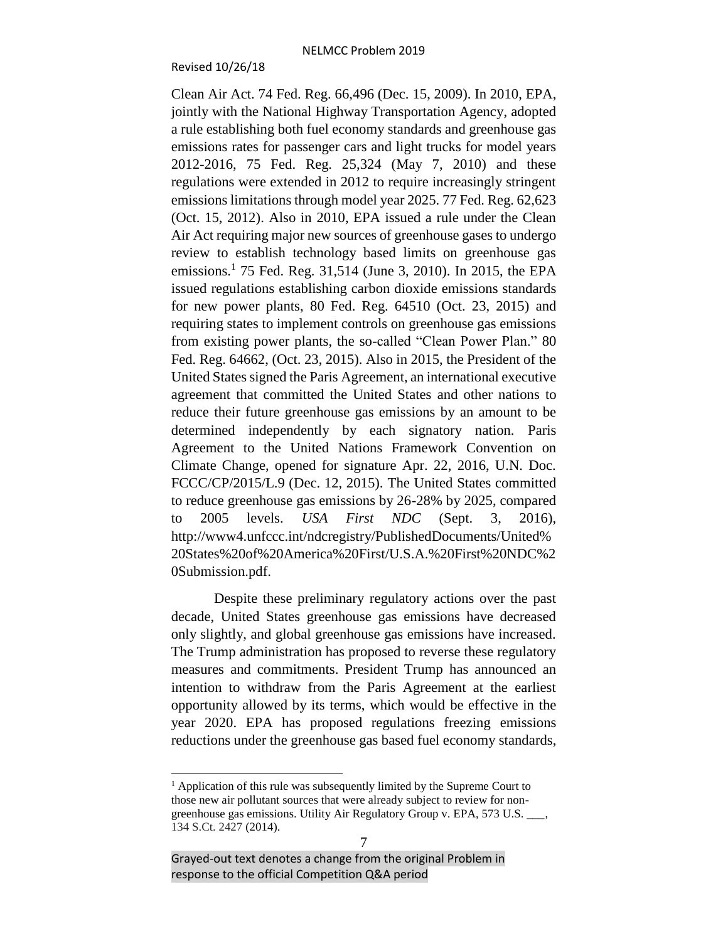#### Revised 10/26/18

Clean Air Act. 74 Fed. Reg. 66,496 (Dec. 15, 2009). In 2010, EPA, jointly with the National Highway Transportation Agency, adopted a rule establishing both fuel economy standards and greenhouse gas emissions rates for passenger cars and light trucks for model years 2012-2016, 75 Fed. Reg. 25,324 (May 7, 2010) and these regulations were extended in 2012 to require increasingly stringent emissions limitations through model year 2025. 77 Fed. Reg. 62,623 (Oct. 15, 2012). Also in 2010, EPA issued a rule under the Clean Air Act requiring major new sources of greenhouse gases to undergo review to establish technology based limits on greenhouse gas emissions.<sup>1</sup> 75 Fed. Reg. 31,514 (June 3, 2010). In 2015, the EPA issued regulations establishing carbon dioxide emissions standards for new power plants, 80 Fed. Reg. 64510 (Oct. 23, 2015) and requiring states to implement controls on greenhouse gas emissions from existing power plants, the so-called "Clean Power Plan." 80 Fed. Reg. 64662, (Oct. 23, 2015). Also in 2015, the President of the United States signed the Paris Agreement, an international executive agreement that committed the United States and other nations to reduce their future greenhouse gas emissions by an amount to be determined independently by each signatory nation. Paris Agreement to the United Nations Framework Convention on Climate Change, opened for signature Apr. 22, 2016, U.N. Doc. FCCC/CP/2015/L.9 (Dec. 12, 2015). The United States committed to reduce greenhouse gas emissions by 26-28% by 2025, compared to 2005 levels. *USA First NDC* (Sept. 3, 2016), http://www4.unfccc.int/ndcregistry/PublishedDocuments/United% 20States%20of%20America%20First/U.S.A.%20First%20NDC%2 0Submission.pdf.

Despite these preliminary regulatory actions over the past decade, United States greenhouse gas emissions have decreased only slightly, and global greenhouse gas emissions have increased. The Trump administration has proposed to reverse these regulatory measures and commitments. President Trump has announced an intention to withdraw from the Paris Agreement at the earliest opportunity allowed by its terms, which would be effective in the year 2020. EPA has proposed regulations freezing emissions reductions under the greenhouse gas based fuel economy standards,

 $\overline{\phantom{a}}$ 

 $<sup>1</sup>$  Application of this rule was subsequently limited by the Supreme Court to</sup> those new air pollutant sources that were already subject to review for nongreenhouse gas emissions. Utility Air Regulatory Group v. EPA, 573 U.S. \_\_\_, 134 S.Ct. 2427 (2014).

Grayed-out text denotes a change from the original Problem in response to the official Competition Q&A period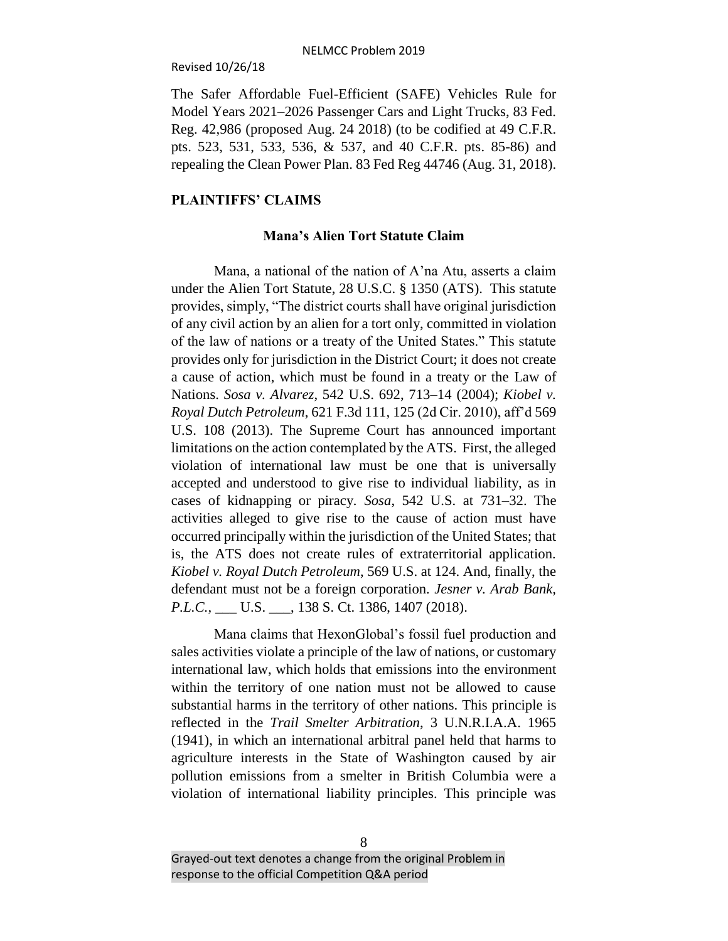#### Revised 10/26/18

The Safer Affordable Fuel-Efficient (SAFE) Vehicles Rule for Model Years 2021–2026 Passenger Cars and Light Trucks, 83 Fed. Reg. 42,986 (proposed Aug. 24 2018) (to be codified at 49 C.F.R. pts. 523, 531, 533, 536, & 537, and 40 C.F.R. pts. 85-86) and repealing the Clean Power Plan. 83 Fed Reg 44746 (Aug. 31, 2018).

## **PLAINTIFFS' CLAIMS**

## **Mana's Alien Tort Statute Claim**

Mana, a national of the nation of A'na Atu, asserts a claim under the Alien Tort Statute, 28 U.S.C. § 1350 (ATS). This statute provides, simply, "The district courts shall have original jurisdiction of any civil action by an alien for a tort only, committed in violation of the law of nations or a treaty of the United States." This statute provides only for jurisdiction in the District Court; it does not create a cause of action, which must be found in a treaty or the Law of Nations. *Sosa v. Alvarez*, 542 U.S. 692, 713–14 (2004); *Kiobel v. Royal Dutch Petroleum*, 621 F.3d 111, 125 (2d Cir. 2010), aff'd 569 U.S. 108 (2013). The Supreme Court has announced important limitations on the action contemplated by the ATS. First, the alleged violation of international law must be one that is universally accepted and understood to give rise to individual liability, as in cases of kidnapping or piracy*. Sosa*, 542 U.S. at 731–32. The activities alleged to give rise to the cause of action must have occurred principally within the jurisdiction of the United States; that is, the ATS does not create rules of extraterritorial application*. Kiobel v. Royal Dutch Petroleum*, 569 U.S. at 124. And, finally, the defendant must not be a foreign corporation*. Jesner v. Arab Bank, P.L.C.*, \_\_\_\_ U.S. \_\_\_, 138 S. Ct. 1386, 1407 (2018).

Mana claims that HexonGlobal's fossil fuel production and sales activities violate a principle of the law of nations, or customary international law, which holds that emissions into the environment within the territory of one nation must not be allowed to cause substantial harms in the territory of other nations. This principle is reflected in the *Trail Smelter Arbitration*, 3 U.N.R.I.A.A. 1965 (1941), in which an international arbitral panel held that harms to agriculture interests in the State of Washington caused by air pollution emissions from a smelter in British Columbia were a violation of international liability principles. This principle was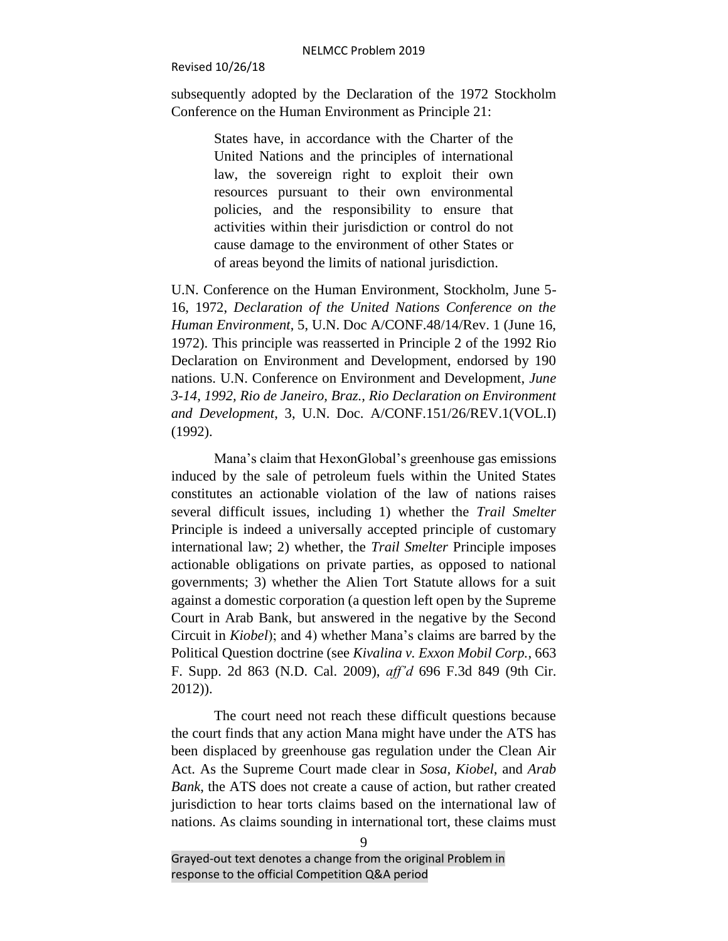subsequently adopted by the Declaration of the 1972 Stockholm Conference on the Human Environment as Principle 21:

> States have, in accordance with the Charter of the United Nations and the principles of international law, the sovereign right to exploit their own resources pursuant to their own environmental policies, and the responsibility to ensure that activities within their jurisdiction or control do not cause damage to the environment of other States or of areas beyond the limits of national jurisdiction.

U.N. Conference on the Human Environment, Stockholm, June 5- 16, 1972, *Declaration of the United Nations Conference on the Human Environment*, 5, U.N. Doc A/CONF.48/14/Rev. 1 (June 16, 1972). This principle was reasserted in Principle 2 of the 1992 Rio Declaration on Environment and Development, endorsed by 190 nations. U.N. Conference on Environment and Development, *June 3-14, 1992, Rio de Janeiro, Braz., Rio Declaration on Environment and Development*, 3, U.N. Doc. A/CONF.151/26/REV.1(VOL.I) (1992).

Mana's claim that HexonGlobal's greenhouse gas emissions induced by the sale of petroleum fuels within the United States constitutes an actionable violation of the law of nations raises several difficult issues, including 1) whether the *Trail Smelter* Principle is indeed a universally accepted principle of customary international law; 2) whether, the *Trail Smelter* Principle imposes actionable obligations on private parties, as opposed to national governments; 3) whether the Alien Tort Statute allows for a suit against a domestic corporation (a question left open by the Supreme Court in Arab Bank, but answered in the negative by the Second Circuit in *Kiobel*); and 4) whether Mana's claims are barred by the Political Question doctrine (see *Kivalina v. Exxon Mobil Corp.*, 663 F. Supp. 2d 863 (N.D. Cal. 2009), *aff'd* 696 F.3d 849 (9th Cir. 2012)).

The court need not reach these difficult questions because the court finds that any action Mana might have under the ATS has been displaced by greenhouse gas regulation under the Clean Air Act. As the Supreme Court made clear in *Sosa, Kiobel*, and *Arab Bank*, the ATS does not create a cause of action, but rather created jurisdiction to hear torts claims based on the international law of nations. As claims sounding in international tort, these claims must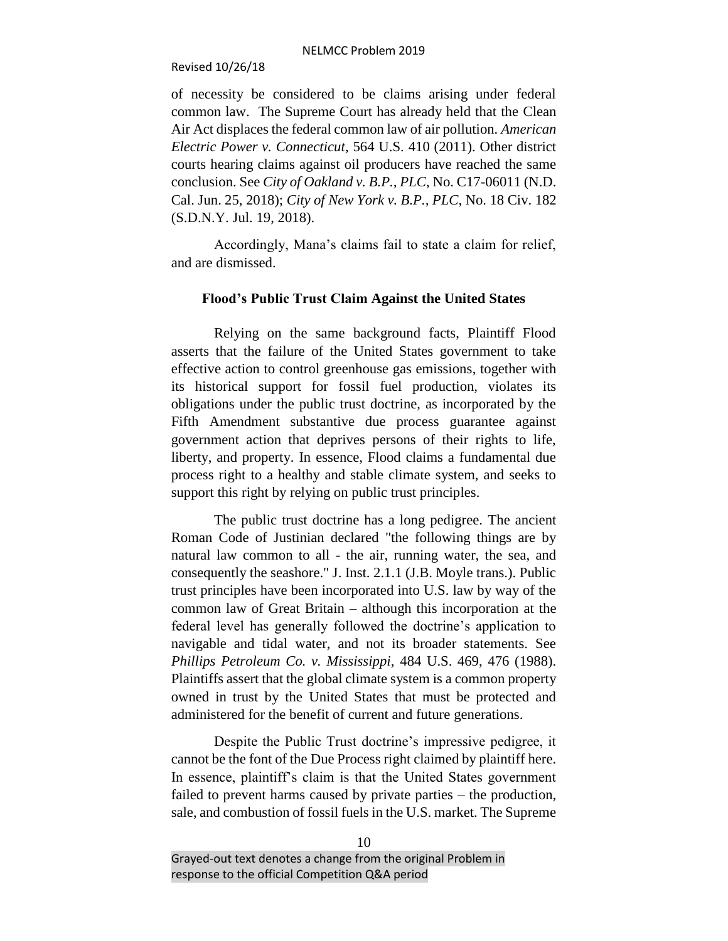#### Revised 10/26/18

of necessity be considered to be claims arising under federal common law. The Supreme Court has already held that the Clean Air Act displaces the federal common law of air pollution*. American Electric Power v. Connecticut*, 564 U.S. 410 (2011). Other district courts hearing claims against oil producers have reached the same conclusion. See *City of Oakland v. B.P., PLC*, No. C17-06011 (N.D. Cal. Jun. 25, 2018); *City of New York v. B.P., PLC*, No. 18 Civ. 182 (S.D.N.Y. Jul. 19, 2018).

Accordingly, Mana's claims fail to state a claim for relief, and are dismissed.

#### **Flood's Public Trust Claim Against the United States**

Relying on the same background facts, Plaintiff Flood asserts that the failure of the United States government to take effective action to control greenhouse gas emissions, together with its historical support for fossil fuel production, violates its obligations under the public trust doctrine, as incorporated by the Fifth Amendment substantive due process guarantee against government action that deprives persons of their rights to life, liberty, and property. In essence, Flood claims a fundamental due process right to a healthy and stable climate system, and seeks to support this right by relying on public trust principles.

The public trust doctrine has a long pedigree. The ancient Roman Code of Justinian declared "the following things are by natural law common to all - the air, running water, the sea, and consequently the seashore." J. Inst. 2.1.1 (J.B. Moyle trans.). Public trust principles have been incorporated into U.S. law by way of the common law of Great Britain – although this incorporation at the federal level has generally followed the doctrine's application to navigable and tidal water, and not its broader statements. See *Phillips Petroleum Co. v. Mississippi,* 484 U.S. 469, 476 (1988). Plaintiffs assert that the global climate system is a common property owned in trust by the United States that must be protected and administered for the benefit of current and future generations.

Despite the Public Trust doctrine's impressive pedigree, it cannot be the font of the Due Process right claimed by plaintiff here. In essence, plaintiff's claim is that the United States government failed to prevent harms caused by private parties – the production, sale, and combustion of fossil fuels in the U.S. market. The Supreme